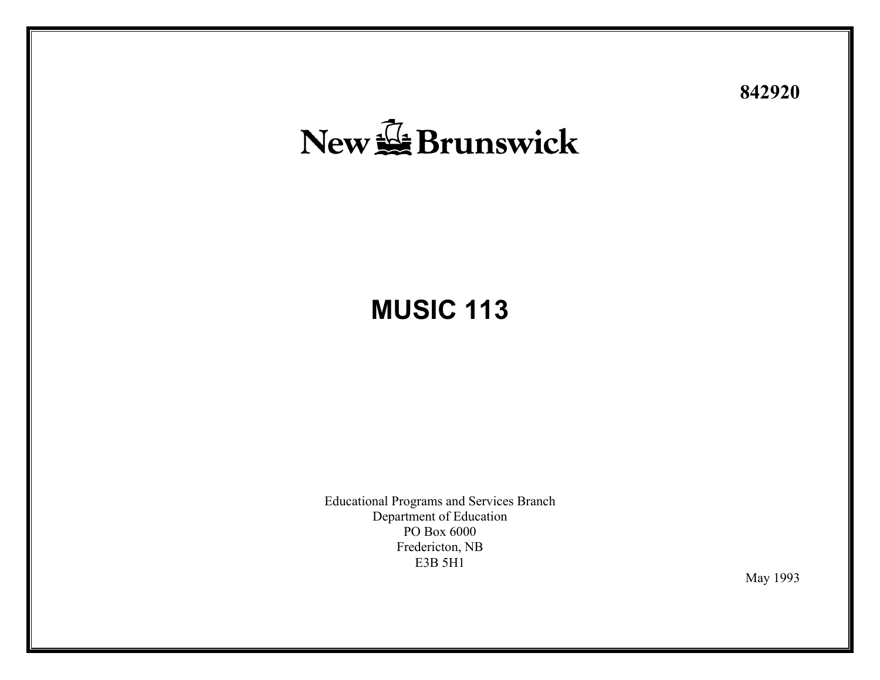# **842920**

# New & Brunswick

# **MUSIC 113**

Educational Programs and Services Branch Departm ent of Education PO Box 6000 Fredericton, NB E3B 5H1

May 1993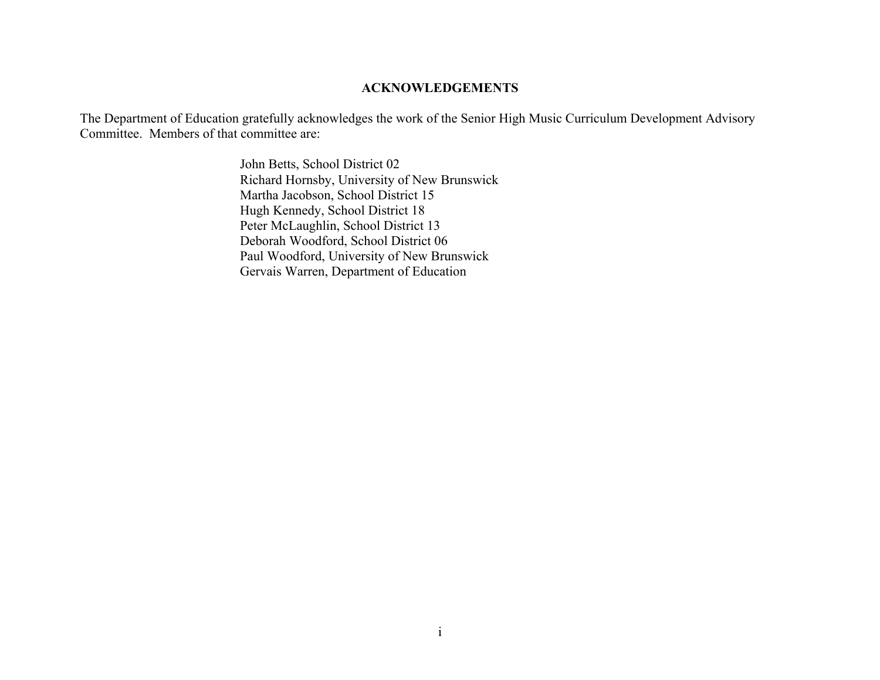#### **ACKNOWLEDGEMENTS**

The Department of Education gratefully acknowledges the work of the Senior High Music Curriculum Development Advisory Committee. Members of that committee are:

> John Betts, School District 02 Richard Hornsby, University of New Brunswick Martha Jacobson, School District 15 Hugh Kennedy, School District 18 Peter McLaughlin, School District 13 Deborah Woodford, School District 06 Paul Woodford, University of New Brunswick Gervais Warren, Department of Education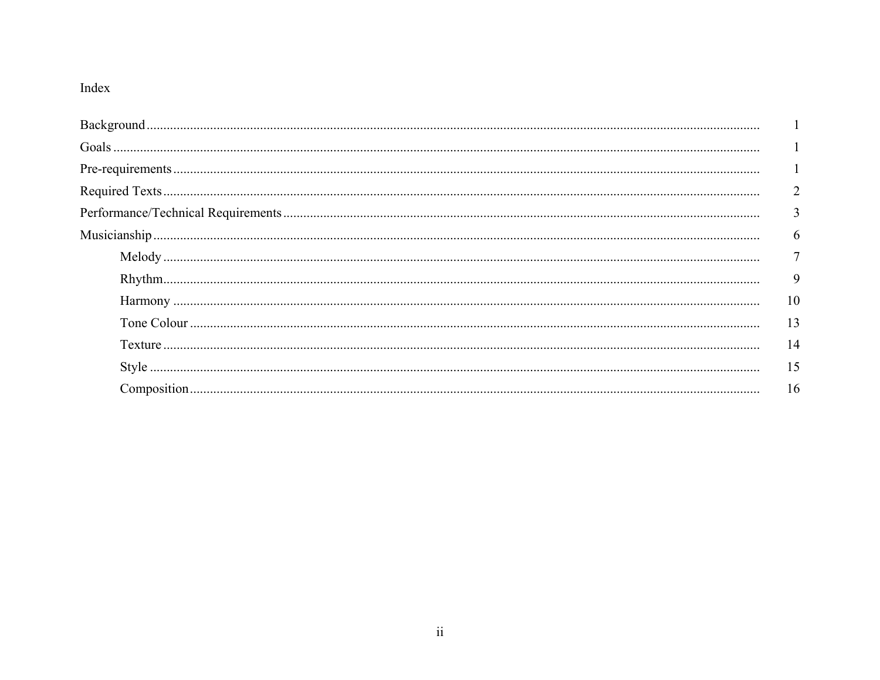# Index

| $\overline{2}$ |
|----------------|
| $\overline{3}$ |
| 6              |
| $\overline{7}$ |
| 9              |
| 10             |
| 13             |
| 14             |
| 15             |
|                |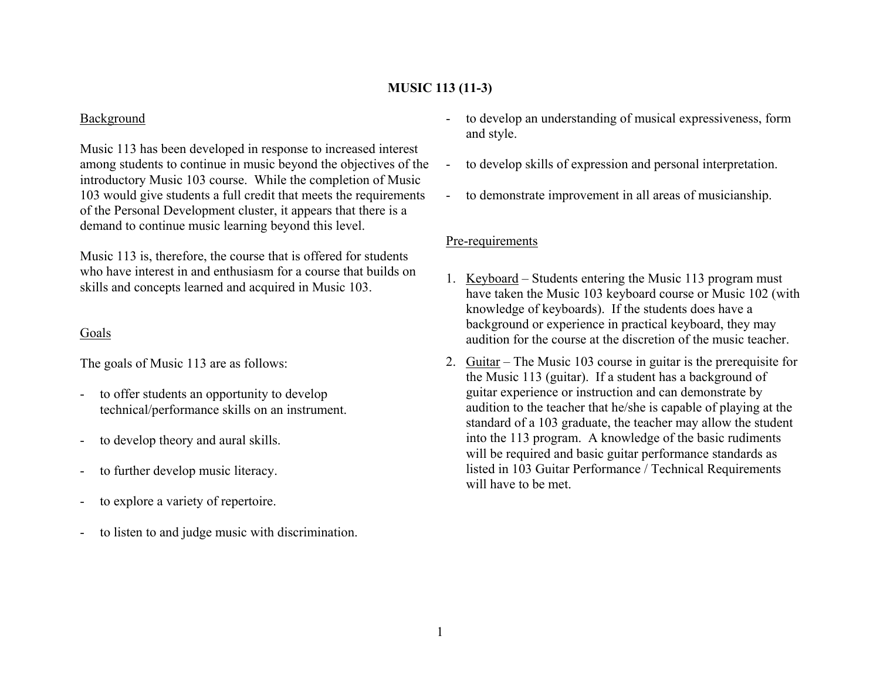# **MUSIC 113 (11-3)**

## Background

Music 113 has been developed in response to increased interest among students to continue in music beyond the objectives of the introductory Music 103 course. While the completion of Music 103 would give students a full credit that meets the requirements of the Personal Development cluster, it appears that there is a demand to continue music learning beyond this level.

Music 113 is, therefore, the course that is offered for students who have interest in and enthusiasm for a course that builds on skills and concepts learned and acquired in Music 103.

# Goals

The goals of Music 113 are as follows:

- to offer students an opportunity to develop technical/performance skills on an instrument.
- to develop theory and aural skills.
- to further develop music literacy.
- to explore a variety of repertoire.
- to listen to and judge music with discrimination.
- to develop an understanding of musical expressiveness, form and style.
- to develop skills of expression and personal interpretation.
- to demonstrate improvement in all areas of musicianship.

# Pre-requirements

- 1. <u>Keyboard</u> Students entering the Music 113 program must have taken the Music 103 keyboard course or Music 102 (with knowledge of keyboards). If the students does have a background or experience in practical keyboard, they may audition for the course at the discretion of the music teacher.
- 2. <u>Guitar</u> The Music 103 course in guitar is the prerequisite for the Music 113 (guitar). If a student has a background of guitar experience or instruction and can demonstrate by audition to the teacher that he/she is capable of playing at the standard of a 103 graduate, the teacher may allow the student into the 113 program. A knowledge of the basic rudiments will be required and basic guitar performance standards as listed in 103 Guitar Performance / Technical Requirements will have to be met.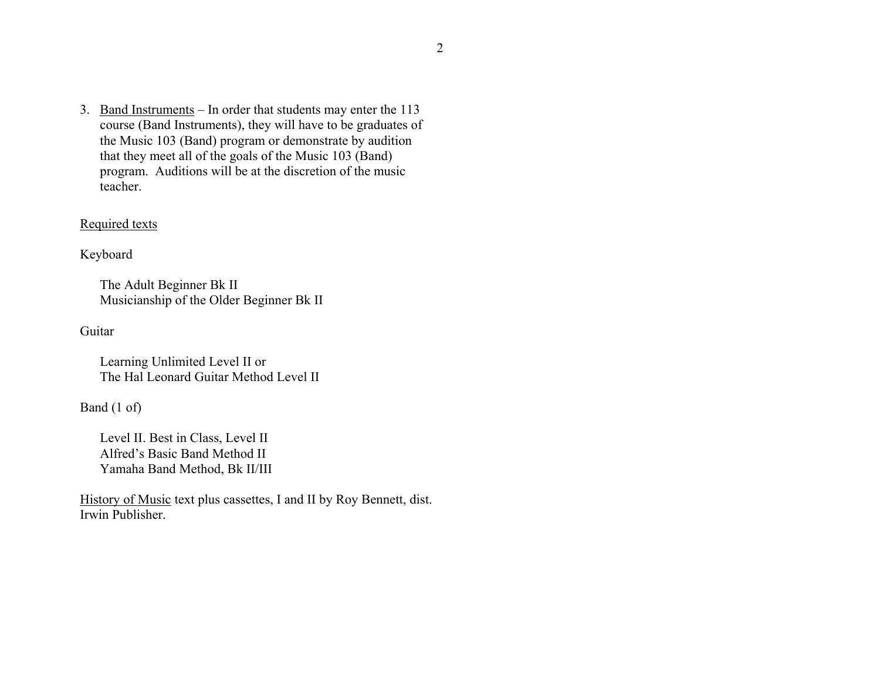3. <u>Band Instruments</u> – In order that students may enter the 113 course (Band Instruments), they will have to be graduates of the Music 103 (Band) program or demonstrate by audition that they meet all of the goals of the Music 103 (Band) program. Auditions will be at the discretion of the music teacher.

# Required texts

Keyboard

The Adult Beginner Bk II Musicianship of the Older Beginner Bk II

Guitar

Learning Unlimited Level II or The Hal Leonard Guitar Method Level II

Band (1 of)

Level II. Best in Class, Level II Alfred's Basic Band Method II Yamaha Band Method, Bk II/III

History of Music text plus cassettes, I and II by Roy Bennett, dist. Irwin Publisher.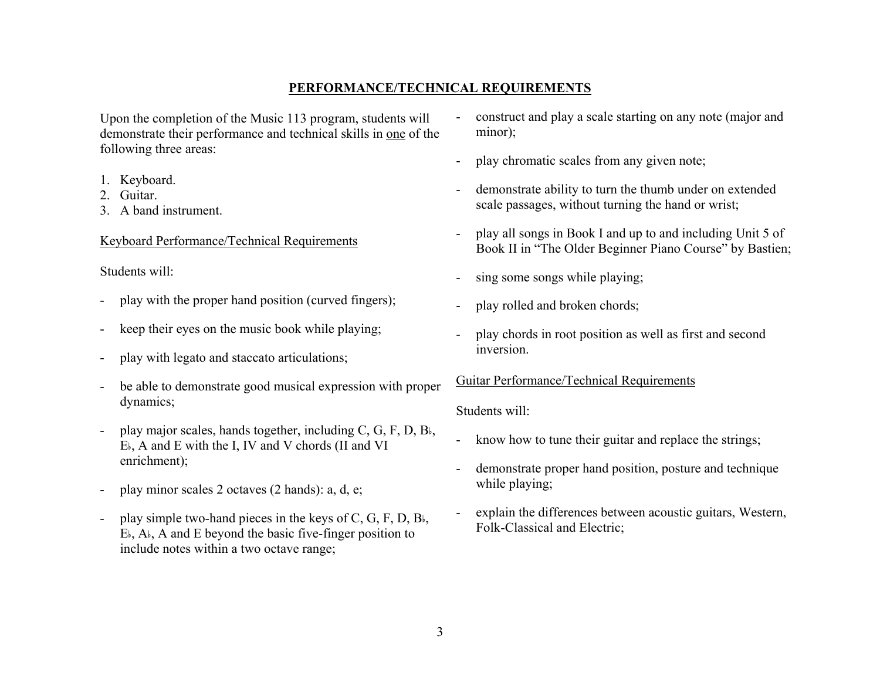# **PERFORMANCE/TECHNICAL REQUIREMENTS**

Upon the completion of the Music 113 program, students will demonstrate their performance and technical skills in one of the following three areas:

- 1. Keyboard.
- 2. Guitar.
- 3. A band instrument.

# Keyboard Performance/Technical Requirements

Students will:

- play with the proper hand position (curved fingers);
- keep their eyes on the music book while playing;
- play with legato and staccato articulations;
- be able to demonstrate good musical expression with proper dynamics;
- play major scales, hands together, including  $C$ ,  $G$ ,  $F$ ,  $D$ ,  $B$ ,  $E_{\text{A}}$ , A and E with the I, IV and V chords (II and VI enrichment);
- play minor scales 2 octaves (2 hands): a, d, e;
- play simple two-hand pieces in the keys of C, G, F, D,  $B_{\flat}$ ,  $E_{\text{A}}$ , A and E beyond the basic five-finger position to include notes within a two octave range;
- construct and play a scale starting on any note (major and minor);
- play chromatic scales from any given note;
- demonstrate ability to turn the thumb under on extended scale passages, without turning the hand or wrist;
- play all songs in Book I and up to and including Unit 5 of Book II in "The Older Beginner Piano Course" by Bastien;
- sing some songs while playing;
- play rolled and broken chords;
- play chords in root position as well as first and second inversion.

#### Guitar Performance/Technical Requirements

#### Students will:

- know how to tune their guitar and replace the strings;
- demonstrate proper hand position, posture and technique while playing;
- explain the differences between acoustic guitars, Western, Folk-Classical and Electric;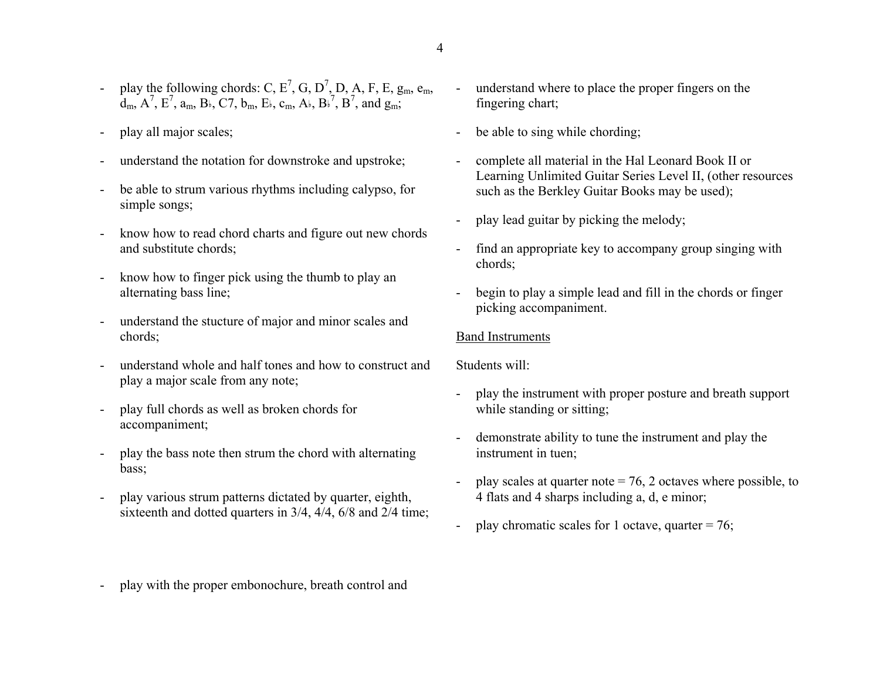- play the following chords: C,  $E^7$ , G, D<sup>7</sup>, D, A, F, E,  $g_m$ ,  $e_m$ ,  $d_m$ ,  $A^7$ ,  $E^7$ ,  $a_m$ ,  $B_k$ ,  $C7$ ,  $b_m$ ,  $E_k$ ,  $c_m$ ,  $A_k$ ,  $B_k^7$ ,  $B^7$ , and  $g_m$ ;
- play all major scales;
- understand the notation for downstroke and upstroke;
- be able to strum various rhythms including calypso, for simple songs;
- know how to read chord charts and figure out new chords and substitute chords;
- know how to finger pick using the thumb to play an alternating bass line;
- understand the stucture of major and minor scales and chords;
- understand whole and half tones and how to construct and play a major scale from any note;
- play full chords as well as broken chords for accompaniment;
- play the bass note then strum the chord with alternating bass;
- play various strum patterns dictated by quarter, eighth, sixteenth and dotted quarters in 3/4, 4/4, 6/8 and 2/4 time;
- understand where to place the proper fingers on the fingering chart;
- be able to sing while chording;
- complete all material in the Hal Leonard Book II or Learning Unlimited Guitar Series Level II, (other resources such as the Berkley Guitar Books may be used);
- play lead guitar by picking the melody;
- find an appropriate key to accompany group singing with chords;
- begin to play a simple lead and fill in the chords or finger picking accompaniment.

# Band Instruments

Students will:

- play the instrument with proper posture and breath support while standing or sitting;
- demonstrate ability to tune the instrument and play the instrument in tuen;
- play scales at quarter note  $= 76$ , 2 octaves where possible, to 4 flats and 4 sharps including a, d, e minor;
- play chromatic scales for 1 octave, quarter =  $76$ ;
- play with the proper embonochure, breath control and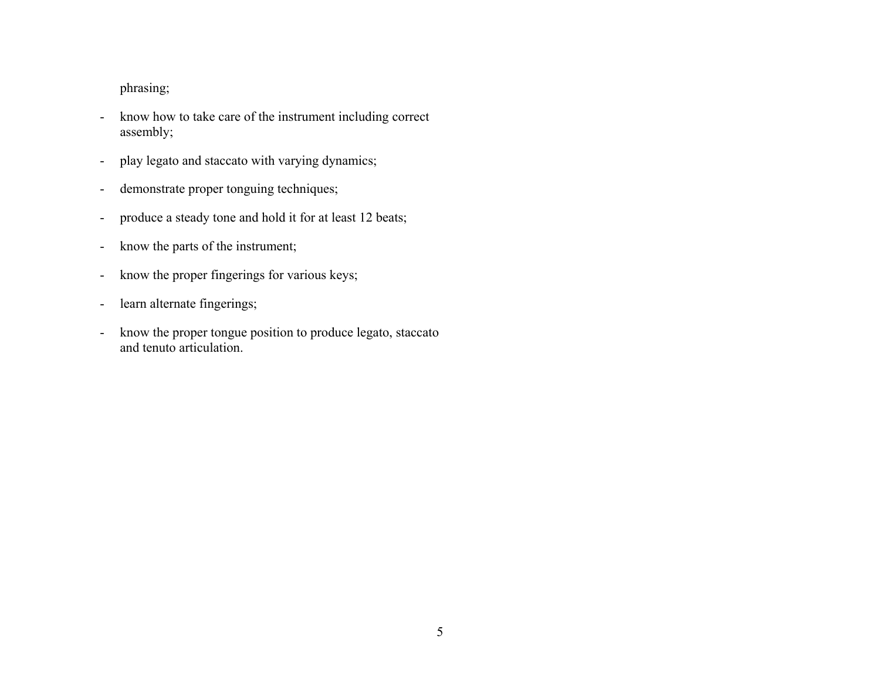# phrasing;

- know how to take care of the instrument including correct assembly;
- play legato and staccato with varying dynamics;
- demonstrate proper tonguing techniques;
- produce a steady tone and hold it for at least 12 beats;
- know the parts of the instrument;
- know the proper fingerings for various keys;
- learn alternate fingerings;
- know the proper tongue position to produce legato, staccato and tenuto articulation.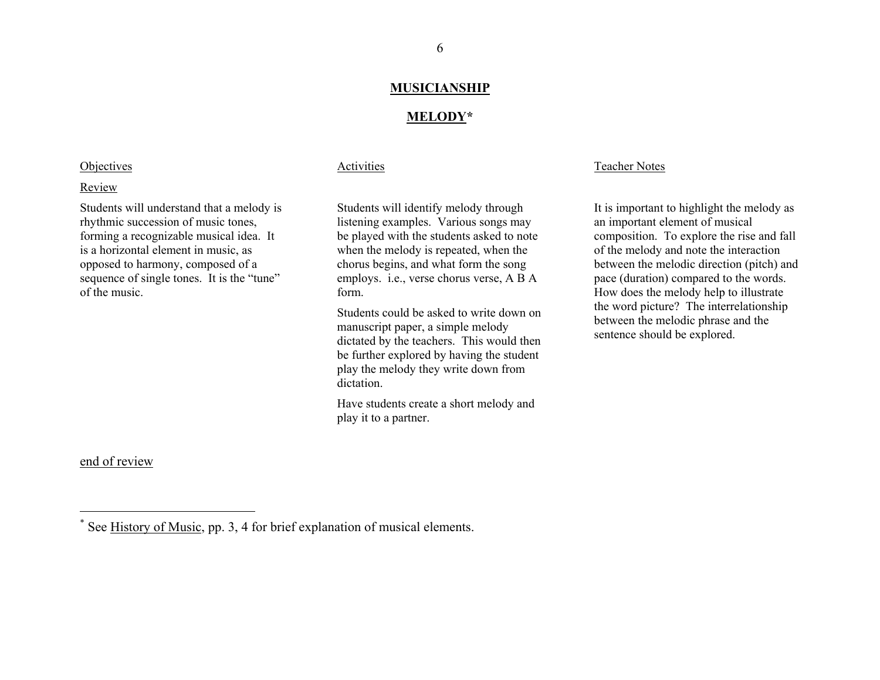#### **MUSICIANSHIP**

#### **MELODY\***

#### **Objectives**

#### Review

Students will understand that a melody is rhythmic succession of music tones, forming a recognizable musical idea. It is a horizontal element in music, as opposed to harmony, composed of a sequence of single tones. It is the "tune" of the music.

#### end of review

#### Activities

Students will identify melody through listening examples. Various songs may be played with the students asked to note when the melody is repeated, when the chorus begins, and what form the song employs. i.e., verse chorus verse, A B A form.

Students could be asked to write down onmanuscript paper, a simple melody dictated by the teachers. This would then be further explored by having the student play the melody they write down from dictation.

Have students create a short melody and play it to a partner.

#### Teacher Notes

It is important to highlight the melody as an important element of musical composition. To explore the rise and fall of the melody and note the interaction between the melodic direction (pitch) and pace (duration) compared to the words. How does the melody help to illustrate the word picture? The interrelationship between the melodic phrase and the sentence should be explored.

<sup>\*</sup> See History of Music, pp. 3, 4 for brief explanation of musical elements.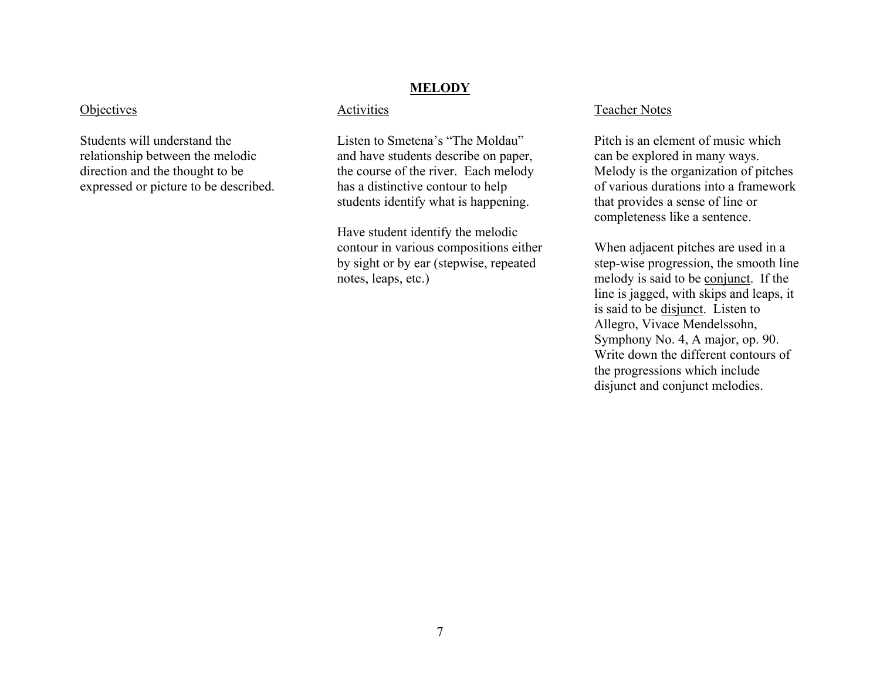#### **Objectives**

Students will understand the relationship between the melodic direction and the thought to be expressed or picture to be described.

#### **MELODY**

#### Activities

Listen to Smetena's "The Moldau" and have students describe on paper, the course of the river. Each melody has a distinctive contour to help students identify what is happening.

Have student identify the melodic contour in various compositions either by sight or by ear (stepwise, repeated notes, leaps, etc.)

#### Teacher Notes

Pitch is an element of music which can be explored in many ways. Melody is the organization of pitches of various durations into a framework that provides a sense of line or completeness like a sentence.

When adjacent pitches are used in a step-wise progression, the smooth line melody is said to be conjunct. If the line is jagged, with skips and leaps, it is said to be <u>disjunct</u>. Listen to Allegro, Vivace Mendelssohn, Symphony No. 4, A major, op. 90. Write down the different contours of the progressions which include disjunct and conjunct melodies.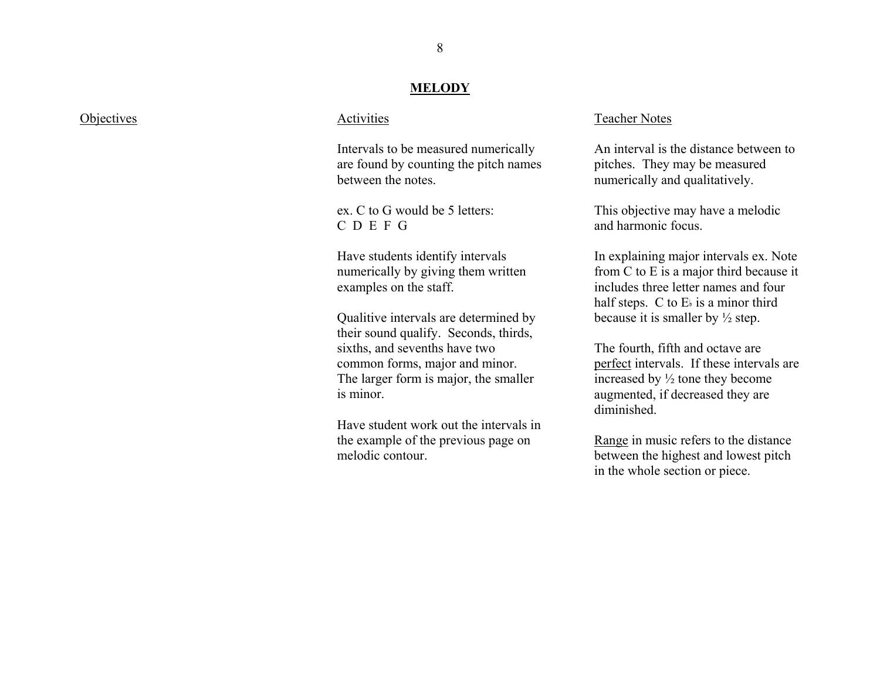#### **MELODY**

| Objectives |
|------------|
|            |

#### **Activities**

Intervals to be measured numerically are found by counting the pitch nam es between the notes.

ex. C to G would be 5 letters: C D E F G

Have students identify intervals num erically by giving them written examples on the staff.

Qualitive intervals are d etermined by their sound qualify. Seconds, thirds, sixths, and sevenths have two common for ms, major and minor. The larger form is m ajor, the smaller is minor.

Have student work out the intervals in the example of the previous page on melodic contour.

#### Teacher Notes

An interval is the distance between to pitches. They m ay be m easured num erically and qualitatively.

This objective m ay have a m elodic and harmonic focus.

In explaining m ajor intervals ex. Note from C to E is a m ajor third bec ause it includes three letter names and four half steps. C to  $E_{\nparallel}$  is a minor third because it is smaller by  $\frac{1}{2}$  step.

The fourth, fifth and octave are perfect intervals. If these intervals are increased by ½ tone they becom e augmented, if decreased they are diminished.

Range in music refers to the distance between the highest and lowest pitch in the whole section or piece.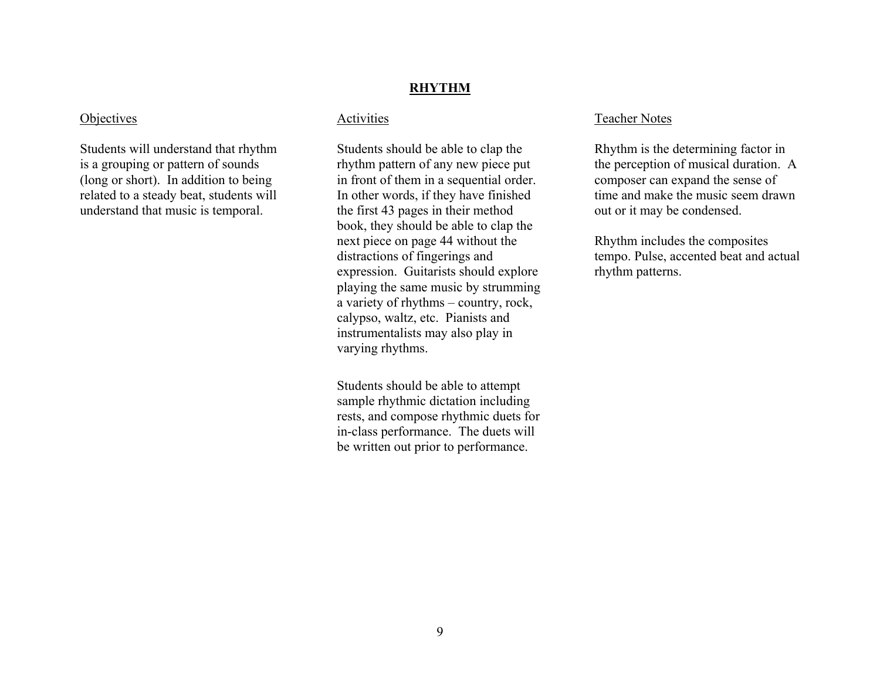#### **RHYTHM**

#### **Objectives**

Students will understand that rhythm is a grouping or pattern of sounds (long or short). In addition to being related to a steady beat, students will understand that music is temporal.

#### Activities

Students should be able to clap the rhythm pattern of any new piece put in front of them in a sequential order. In other words, if they have finished the first 43 pages in their method book, they should be able to clap the next piece on page 44 without the distractions of fingerings and expression. Guitarists should explore playing the same music by strumming a variety of rhythms – country, rock, calypso, waltz, etc. Pianists and instrumentalists may also play in varying rhythms.

Students should be able to attempt sample rhythmic dictation including rests, and compose rhythmic duets for in-class performance. The duets will be written out prior to performance.

#### Teacher Notes

Rhythm is the determining factor in the perception of musical duration. A composer can expand the sense of time and make the music seem drawn out or it may be condensed.

Rhythm includes the composites tempo. Pulse, accented beat and actual rhythm patterns.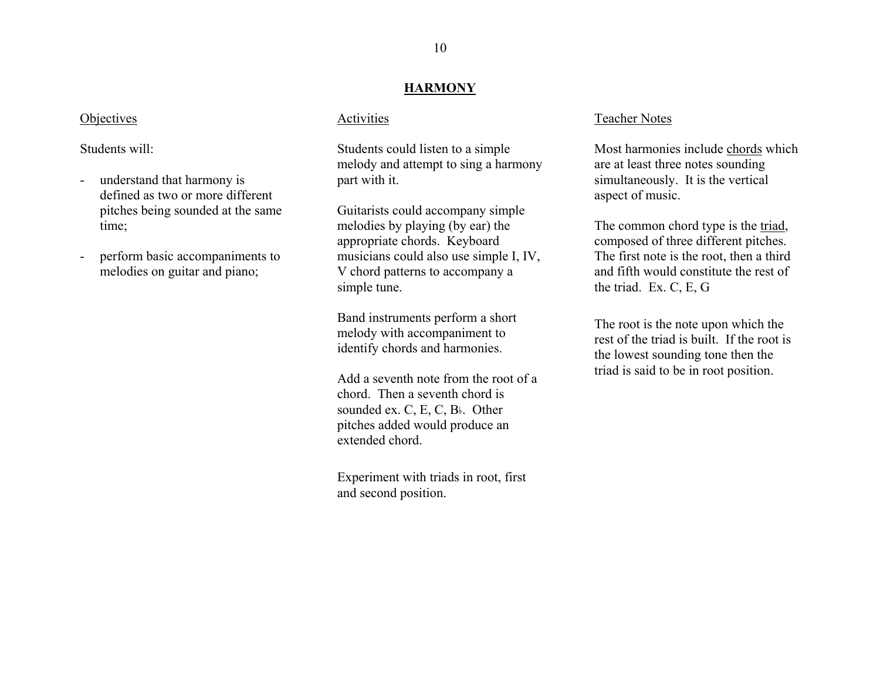#### **HARMONY**

#### **Objectives**

Students will:

- understand that harmony is defined as two or more different pitches being sounded at the same time;
- perform basic accompaniments to melodies on guitar and piano;

#### Activities

Students could listen to a simple melody and attempt to sing a harmony part with it.

Guitarists could accompany simple melodies by playing (by ear) the appropriate chords. Keyboard musicians could also use simple I, IV, V chord patterns to accompany a simple tune.

Band instruments perform a short melody with accompaniment to identify chords and harmonies.

Add a seventh note from the root of a chord. Then a seventh chord is sounded ex. C, E, C, B<sub>b</sub>. Other pitches added would produce an extended chord.

Experiment with triads in root, first and second position.

#### Teacher Notes

Most harmonies include chords which are at least three notes sounding simultaneously. It is the vertical aspect of music.

The common chord type is the <u>triad</u>, composed of three different pitches. The first note is the root, then a third and fifth would constitute the rest of the triad. Ex. C, E, G

The root is the note upon which the rest of the triad is built. If the root isthe lowest sounding tone then the triad is said to be in root position.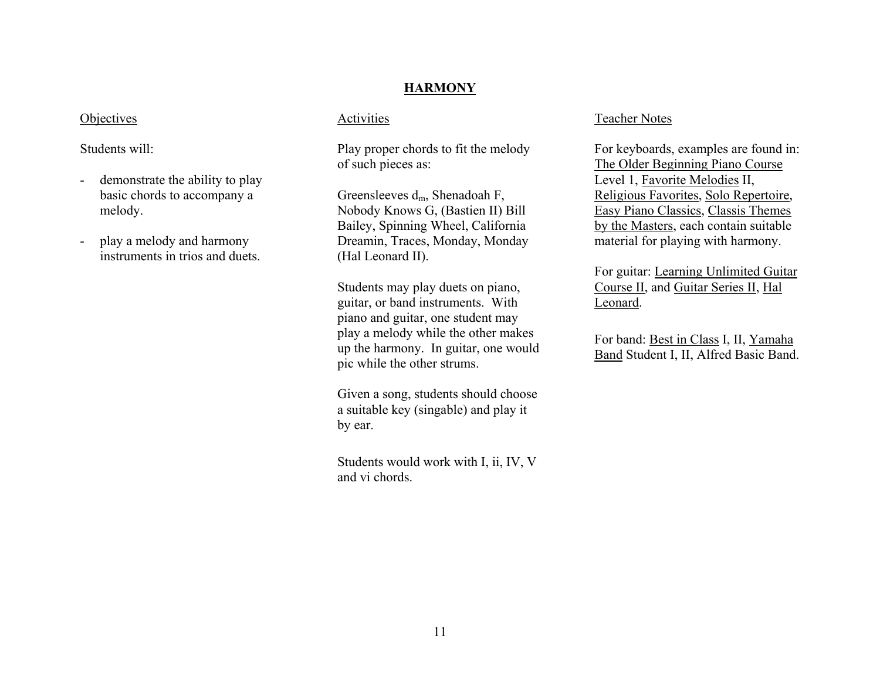#### **HARMONY**

#### **Objectives**

Students will:

- demonstrate the ability to play basic chords to accompany a melody.
- play a melody and harmony instruments in trios and duets.

#### Activities

Play proper chords to fit the melody of such pieces as:

Greensleeves  $d_m$ , Shenadoah F, Nobody Knows G, (Bastien II) Bill Bailey, Spinning Wheel, California Dreamin, Traces, Monday, Monday (Hal Leonard II).

Students may play duets on piano, guitar, or band instruments. With piano and guitar, one student may play a melody while the other makes up the harmony. In guitar, one would pic while the other strums.

Given a song, students should choose a suitable key (singable) and play it by ear.

Students would work with I, ii, IV, V and vi chords.

#### Teacher Notes

For keyboards, examples are found in: The Older Beginning Piano Course Level 1, <u>Favorite Melodies</u> II, Religious Favorites, Solo Repertoire, Easy Piano Classics, Classis Themes by the Masters, each contain suitable material for playing with harmony.

For guitar: Learning Unlimited Guitar Course II, and Guitar Series II, Hal Leonard.

For band: Best in Class I, II, Yamaha Band Student I, II, Alfred Basic Band.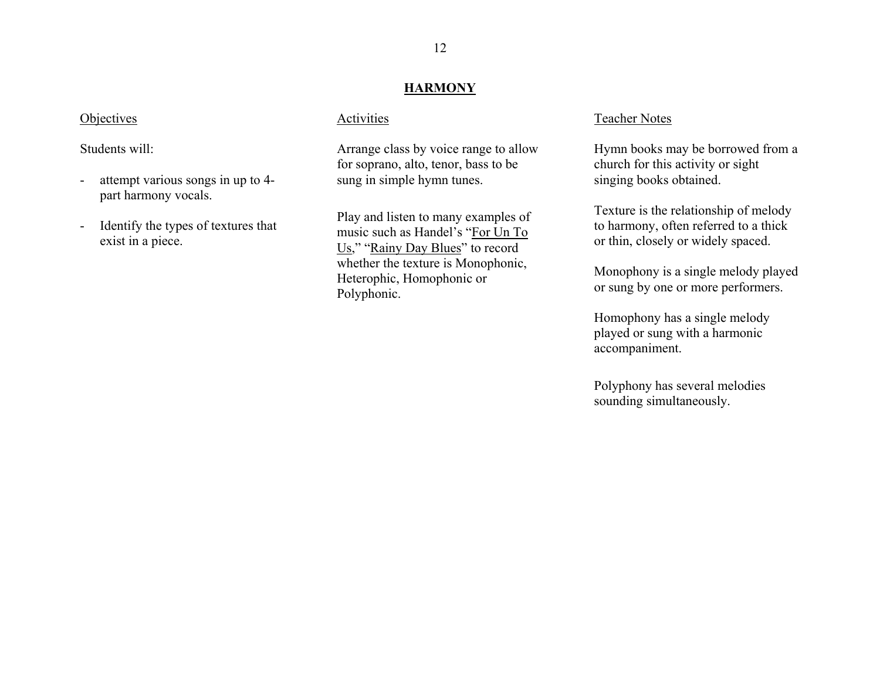#### **HARMONY**

#### **Objectives**

Students will:

- attempt various songs in up to 4part harmony vocals.
- Identify the types of textures that exist in a piece.

#### Activities

Arrange class by voice range to allow for soprano, alto, tenor, bass to be sung in simple hymn tunes.

Play and listen to many examples of music such as Handel's "For Un To Us," "Rainy Day Blues" to record whether the texture is Monophonic, Heterophic, Homophonic or Polyphonic.

#### Teacher Notes

Hymn books may be borrowed from a church for this activity or sight singing books obtained.

Texture is the relationship of melody to harmony, often referred to a thick or thin, closely or widely spaced.

Monophony is a single melody played or sung by one or more performers.

Homophony has a single melody played or sung with a harmonic accompaniment.

Polyphony has several melodies sounding simultaneously.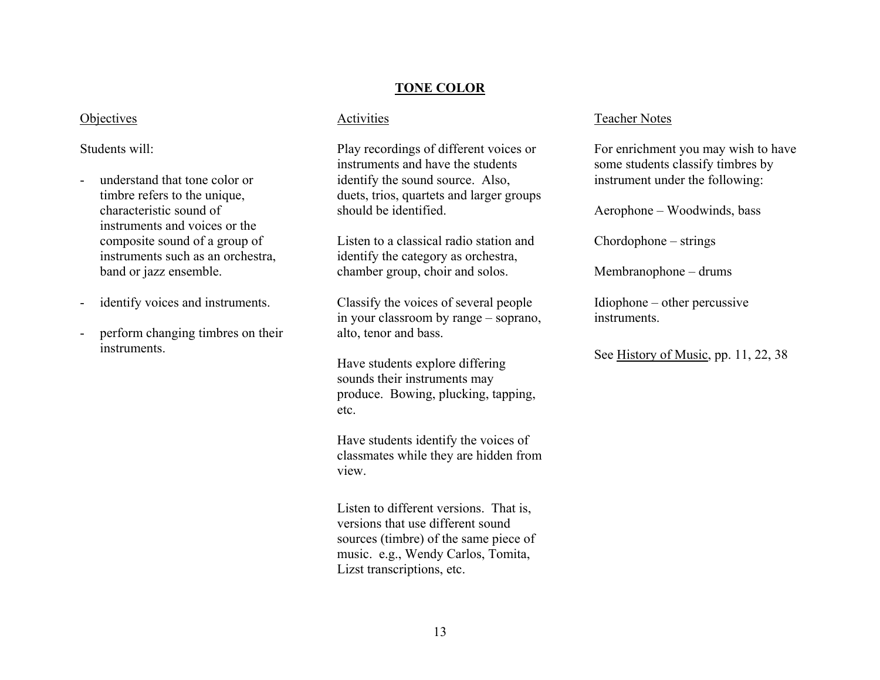# **TONE COLOR**

# **Objectives**

## Students will:

- understand that tone color or timbre refers to the unique, characteristic sound of instruments and voices or the composite sound of a group of instruments such as an orchestra, band or jazz ensemble.
- identify voices and instruments.
- perform changing timbres on their instruments.

#### Activities

Play recordings of different voices or instruments and have the students identify the sound source. Also, duets, trios, quartets and larger groups should be identified.

Listen to a classical radio station andidentify the category as orchestra, chamber group, choir and solos.

Classify the voices of several people in your classroom by range – soprano, alto, tenor and bass.

Have students explore differing sounds their instruments may produce. Bowing, plucking, tapping, etc.

Have students identify the voices of classmates while they are hidden from view.

Listen to different versions. That is, versions that use different sound sources (timbre) of the same piece of music. e.g., Wendy Carlos, Tomita, Lizst transcriptions, etc.

#### Teacher Notes

For enrichment you may wish to have some students classify timbres by instrument under the following:

Aerophone – Woodwinds, bass

Chordophone – strings

Membranophone – drums

Idiophone – other percussive instruments.

See History of Music, pp. 11, 22, 38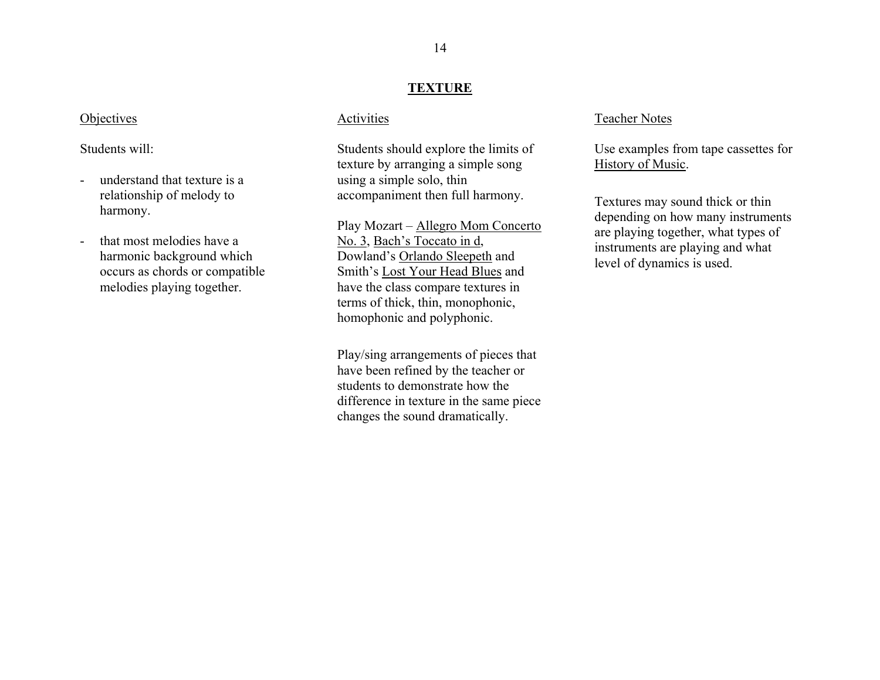#### **TEXTURE**

#### **Objectives**

#### Students will:

- understand that texture is a relationship of melody to harmony.
- that most melodies have a harmonic background which occurs as chords or compatible melodies playing together.

#### Activities

Students should explore the limits of texture by arranging a simple song using a simple solo, thin accompaniment then full harmony.

Play Mozart – Allegro Mom Concerto No. 3, Bach's Toccato in d, Dowland's <u>Orlando Sleepeth</u> and Smith's Lost Your Head Blues and have the class compare textures in terms of thick, thin, monophonic, homophonic and polyphonic.

Play/sing arrangements of pieces that have been refined by the teacher or students to demonstrate how the difference in texture in the same piece changes the sound dramatically.

#### Teacher Notes

Use examples from tape cassettes for History of Music.

Textures may sound thick or thin depending on how many instruments are playing together, what types of instruments are playing and what level of dynamics is used.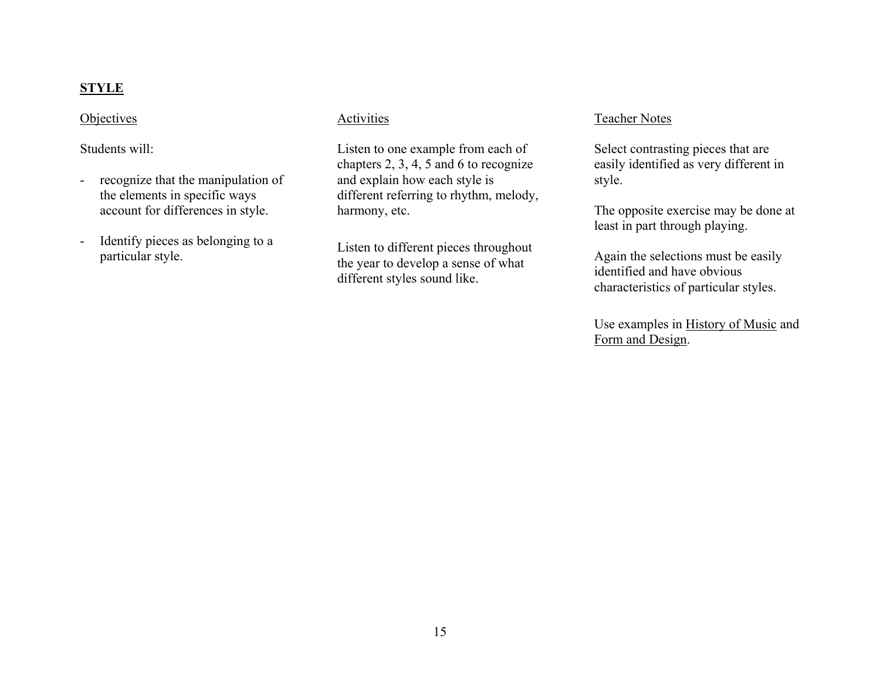# **STYLE**

#### **Objectives**

Students will:

- recognize that the manipulation of the elements in specific ways account for differences in style.
- Identify pieces as belonging to a particular style.

#### Activities

Listen to one example from each of chapters 2, 3, 4, 5 and 6 to recognize and explain how each style is different referring to rhythm, melody, harmony, etc.

Listen to different pieces throughout the year to develop a sense of what different styles sound like.

#### Teacher Notes

Select contrasting pieces that are easily identified as very different in style.

The opposite exercise may be done at least in part through playing.

Again the selections must be easily identified and have obvious characteristics of particular styles.

Use examples in History of Music and Form and Design.